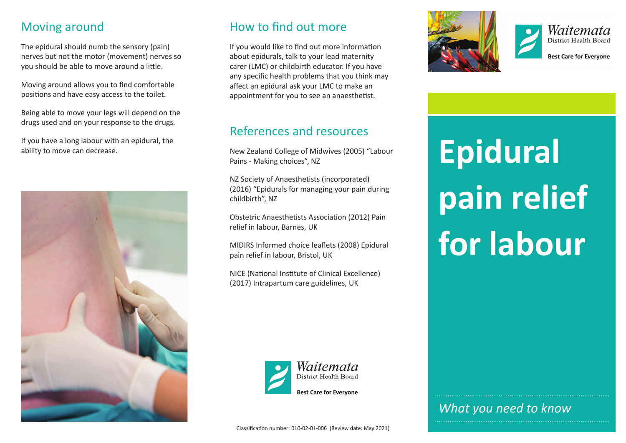#### Moving around

The epidural should numb the sensory (pain) nerves but not the motor (movement) nerves so you should be able to move around a little.

Moving around allows you to find comfortable positions and have easy access to the toilet.

Being able to move your legs will depend on the drugs used and on your response to the drugs.

If you have a long labour with an epidural, the ability to move can decrease.



### How to find out more

If you would like to find out more information about epidurals, talk to your lead maternity carer (LMC) or childbirth educator. If you have any specific health problems that you think may affect an epidural ask your LMC to make an appointment for you to see an anaesthetist.

#### References and resources

New Zealand College of Midwives (2005) "Labour Pains - Making choices", NZ

NZ Society of Anaesthetists (incorporated) (2016) "Epidurals for managing your pain during childbirth", NZ

Obstetric Anaesthetists Association (2012) Pain relief in labour, Barnes, UK

MIDIRS Informed choice leaflets (2008) Epidural pain relief in labour, Bristol, UK

NICE (National Institute of Clinical Excellence) (2017) Intrapartum care guidelines, UK







**Best Care for Evervone** 

**Epidural pain relief for labour**

*What you need to know*